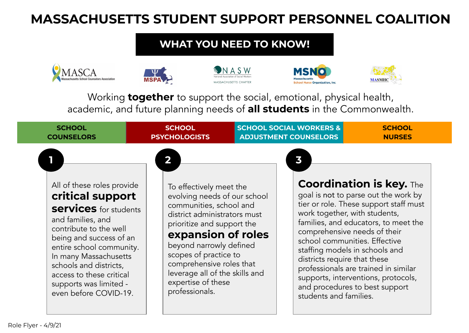## **MASSACHUSETTS STUDENT SUPPORT PERSONNEL COALITION**

## **WHAT YOU NEED TO KNOW!**











Working **together** to support the social, emotional, physical health, academic, and future planning needs of **all students** in the Commonwealth.

| <b>SCHOOL</b>                                                                                                                                                                                                                                                                                                          | <b>SCHOOL</b>        |                                                                                                                                                                                                                                                                                                                                       | <b>SCHOOL SOCIAL WORKERS &amp;</b> |   |                        | <b>SCHOOL</b>                                                                                                                                                                                                                                                                                                                                                                                                                                  |
|------------------------------------------------------------------------------------------------------------------------------------------------------------------------------------------------------------------------------------------------------------------------------------------------------------------------|----------------------|---------------------------------------------------------------------------------------------------------------------------------------------------------------------------------------------------------------------------------------------------------------------------------------------------------------------------------------|------------------------------------|---|------------------------|------------------------------------------------------------------------------------------------------------------------------------------------------------------------------------------------------------------------------------------------------------------------------------------------------------------------------------------------------------------------------------------------------------------------------------------------|
| <b>COUNSELORS</b>                                                                                                                                                                                                                                                                                                      | <b>PSYCHOLOGISTS</b> |                                                                                                                                                                                                                                                                                                                                       | <b>ADJUSTMENT COUNSELORS</b>       |   |                        | <b>NURSES</b>                                                                                                                                                                                                                                                                                                                                                                                                                                  |
| All of these roles provide<br>critical support<br><b>Services</b> for students<br>and families, and<br>contribute to the well<br>being and success of an<br>entire school community.<br>In many Massachusetts<br>schools and districts,<br>access to these critical<br>supports was limited -<br>even before COVID-19. |                      | 2<br>To effectively meet the<br>evolving needs of our school<br>communities, school and<br>district administrators must<br>prioritize and support the<br>expansion of roles<br>beyond narrowly defined<br>scopes of practice to<br>comprehensive roles that<br>leverage all of the skills and<br>expertise of these<br>professionals. |                                    | 3 | students and families. | <b>Coordination is key.</b> The<br>goal is not to parse out the work by<br>tier or role. These support staff must<br>work together, with students,<br>families, and educators, to meet the<br>comprehensive needs of their<br>school communities. Effective<br>staffing models in schools and<br>districts require that these<br>professionals are trained in similar<br>supports, interventions, protocols,<br>and procedures to best support |